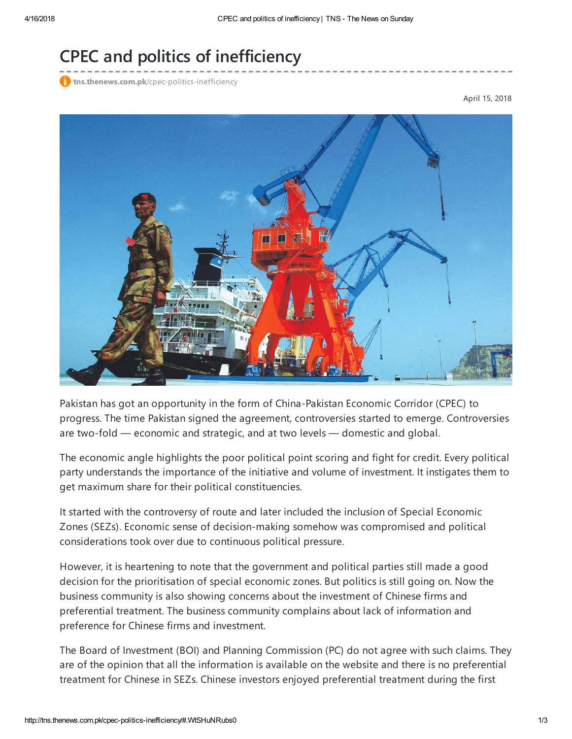## CPEC and politics of inefficiency

**tns.thenews.com.pk**[/cpec-politics-inefficiency](http://tns.thenews.com.pk/cpec-politics-inefficiency/#.WtSHuNRubs0)

April 15, 2018



Pakistan has got an opportunity in the form of China-Pakistan Economic Corridor (CPEC) to progress. The time Pakistan signed the agreement, controversies started to emerge. Controversies are two-fold — economic and strategic, and at two levels — domestic and global.

The economic angle highlights the poor political point scoring and fight for credit. Every political party understands the importance of the initiative and volume of investment. It instigates them to get maximum share for their political constituencies.

It started with the controversy of route and later included the inclusion of Special Economic Zones (SEZs). Economic sense of decision-making somehow was compromised and political considerations took over due to continuous political pressure.

However, it is heartening to note that the government and political parties still made a good decision for the prioritisation of special economic zones. But politics is still going on. Now the business community is also showing concerns about the investment of Chinese firms and preferential treatment. The business community complains about lack of information and preference for Chinese firms and investment.

The Board of Investment (BOI) and Planning Commission (PC) do not agree with such claims. They are of the opinion that all the information is available on the website and there is no preferential treatment for Chinese in SEZs. Chinese investors enjoyed preferential treatment during the first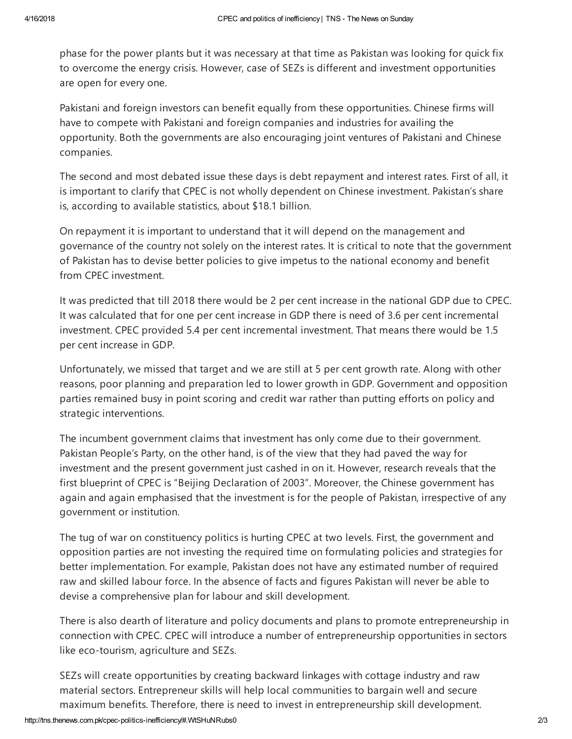phase for the power plants but it was necessary at that time as Pakistan was looking for quick fix to overcome the energy crisis. However, case of SEZs is different and investment opportunities are open for every one.

Pakistani and foreign investors can benefit equally from these opportunities. Chinese firms will have to compete with Pakistani and foreign companies and industries for availing the opportunity. Both the governments are also encouraging joint ventures of Pakistani and Chinese companies.

The second and most debated issue these days is debt repayment and interest rates. First of all, it is important to clarify that CPEC is not wholly dependent on Chinese investment. Pakistan's share is, according to available statistics, about \$18.1 billion.

On repayment it is important to understand that it will depend on the management and governance of the country not solely on the interest rates. It is critical to note that the government of Pakistan has to devise better policies to give impetus to the national economy and benefit from CPEC investment.

It was predicted that till 2018 there would be 2 per cent increase in the national GDP due to CPEC. It was calculated that for one per cent increase in GDP there is need of 3.6 per cent incremental investment. CPEC provided 5.4 per cent incremental investment. That means there would be 1.5 per cent increase in GDP.

Unfortunately, we missed that target and we are still at 5 per cent growth rate. Along with other reasons, poor planning and preparation led to lower growth in GDP. Government and opposition parties remained busy in point scoring and credit war rather than putting efforts on policy and strategic interventions.

The incumbent government claims that investment has only come due to their government. Pakistan People's Party, on the other hand, is of the view that they had paved the way for investment and the present government just cashed in on it. However, research reveals that the first blueprint of CPEC is "Beijing Declaration of 2003". Moreover, the Chinese government has again and again emphasised that the investment is for the people of Pakistan, irrespective of any government or institution.

The tug of war on constituency politics is hurting CPEC at two levels. First, the government and opposition parties are not investing the required time on formulating policies and strategies for better implementation. For example, Pakistan does not have any estimated number of required raw and skilled labour force. In the absence of facts and figures Pakistan will never be able to devise a comprehensive plan for labour and skill development.

There is also dearth of literature and policy documents and plans to promote entrepreneurship in connection with CPEC. CPEC will introduce a number of entrepreneurship opportunities in sectors like eco-tourism, agriculture and SEZs.

SEZs will create opportunities by creating backward linkages with cottage industry and raw material sectors. Entrepreneur skills will help local communities to bargain well and secure maximum benefits. Therefore, there is need to invest in entrepreneurship skill development.